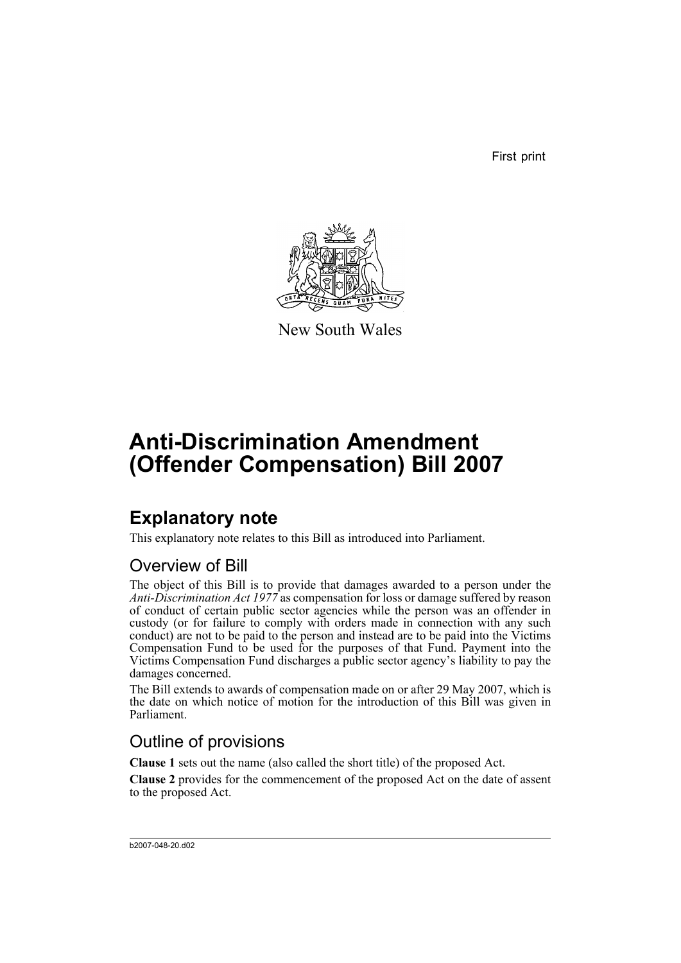First print



New South Wales

# **Anti-Discrimination Amendment (Offender Compensation) Bill 2007**

# **Explanatory note**

This explanatory note relates to this Bill as introduced into Parliament.

### Overview of Bill

The object of this Bill is to provide that damages awarded to a person under the *Anti-Discrimination Act 1977* as compensation for loss or damage suffered by reason of conduct of certain public sector agencies while the person was an offender in custody (or for failure to comply with orders made in connection with any such conduct) are not to be paid to the person and instead are to be paid into the Victims Compensation Fund to be used for the purposes of that Fund. Payment into the Victims Compensation Fund discharges a public sector agency's liability to pay the damages concerned.

The Bill extends to awards of compensation made on or after 29 May 2007, which is the date on which notice of motion for the introduction of this Bill was given in Parliament.

### Outline of provisions

**Clause 1** sets out the name (also called the short title) of the proposed Act.

**Clause 2** provides for the commencement of the proposed Act on the date of assent to the proposed Act.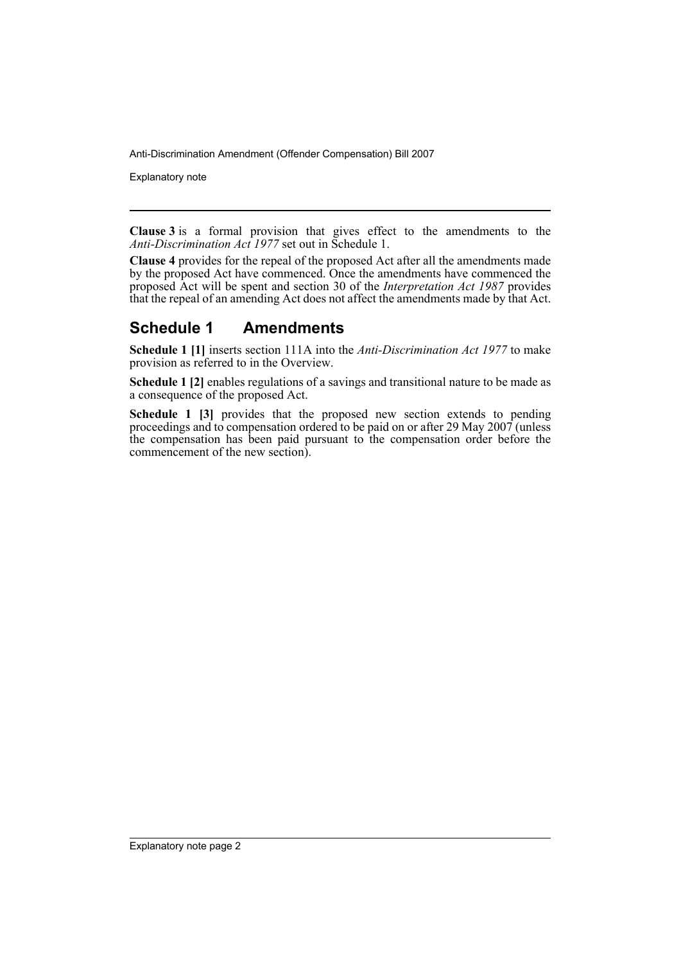Explanatory note

**Clause 3** is a formal provision that gives effect to the amendments to the *Anti-Discrimination Act 1977* set out in Schedule 1.

**Clause 4** provides for the repeal of the proposed Act after all the amendments made by the proposed Act have commenced. Once the amendments have commenced the proposed Act will be spent and section 30 of the *Interpretation Act 1987* provides that the repeal of an amending Act does not affect the amendments made by that Act.

#### **Schedule 1 Amendments**

**Schedule 1 [1]** inserts section 111A into the *Anti-Discrimination Act 1977* to make provision as referred to in the Overview.

**Schedule 1 [2]** enables regulations of a savings and transitional nature to be made as a consequence of the proposed Act.

**Schedule 1 [3]** provides that the proposed new section extends to pending proceedings and to compensation ordered to be paid on or after 29 May 2007 (unless the compensation has been paid pursuant to the compensation order before the commencement of the new section).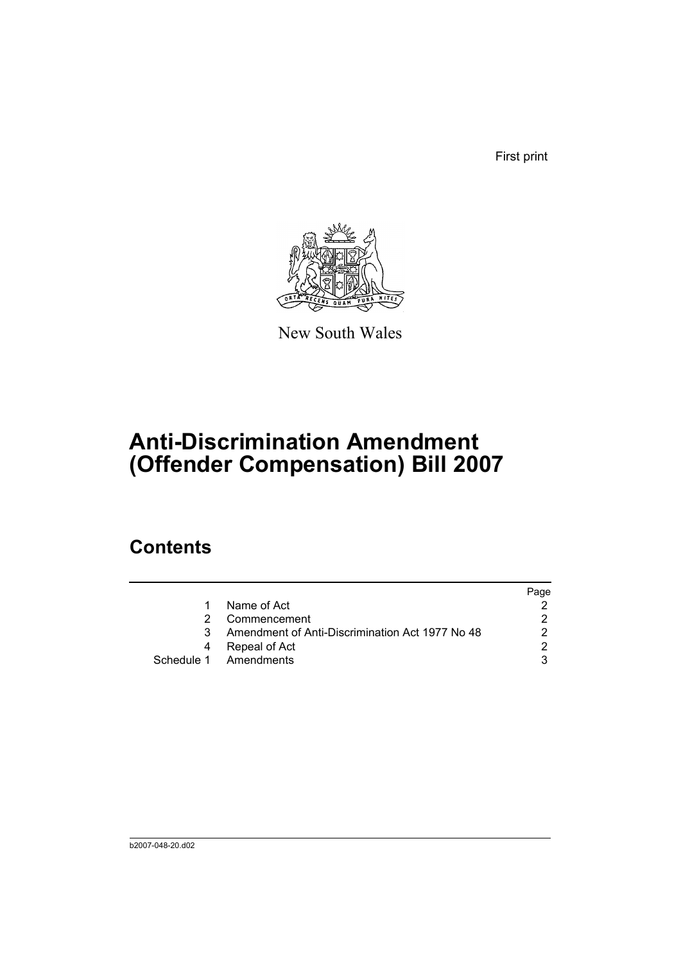First print



New South Wales

# **Anti-Discrimination Amendment (Offender Compensation) Bill 2007**

## **Contents**

|   |                                                 | Page |
|---|-------------------------------------------------|------|
|   | Name of Act                                     |      |
|   | Commencement                                    |      |
| 3 | Amendment of Anti-Discrimination Act 1977 No 48 |      |
|   | Repeal of Act                                   |      |
|   | Schedule 1 Amendments                           |      |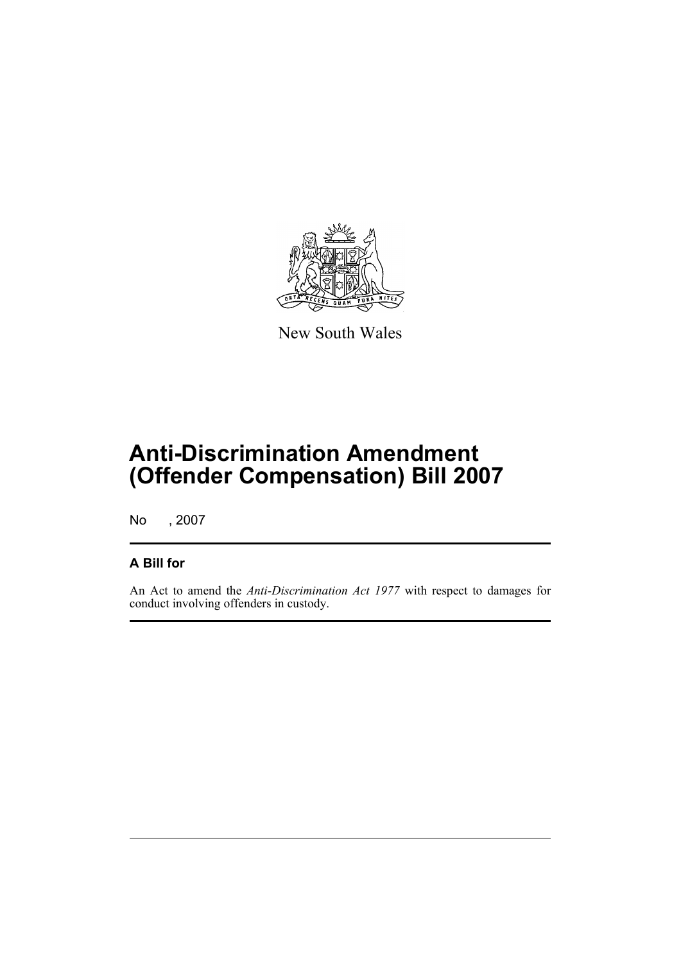

New South Wales

# **Anti-Discrimination Amendment (Offender Compensation) Bill 2007**

No , 2007

#### **A Bill for**

An Act to amend the *Anti-Discrimination Act 1977* with respect to damages for conduct involving offenders in custody.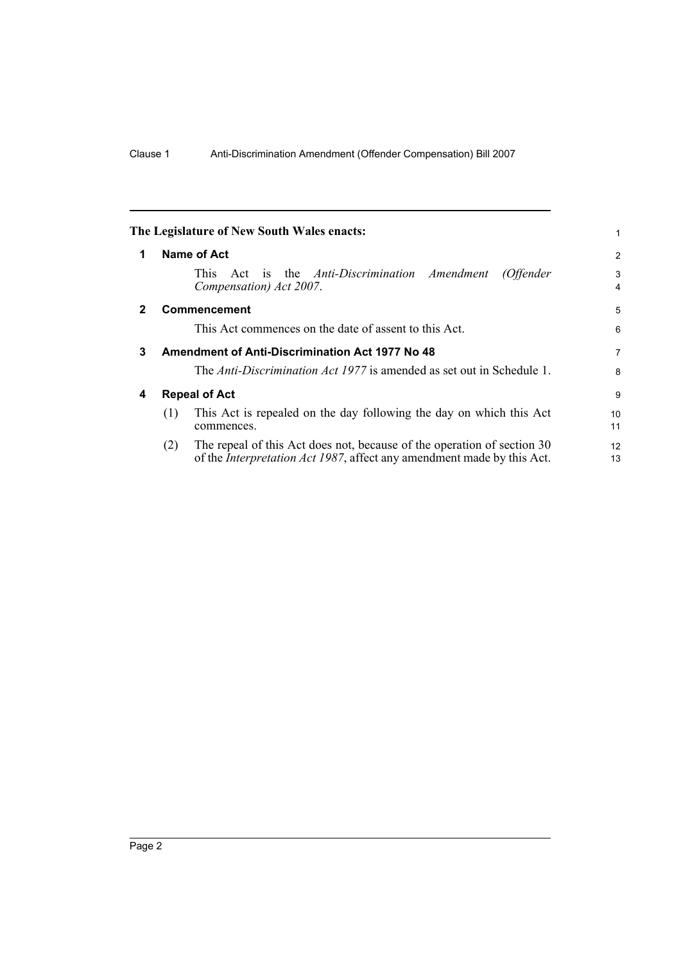<span id="page-5-3"></span><span id="page-5-2"></span><span id="page-5-1"></span><span id="page-5-0"></span>

|              | The Legislature of New South Wales enacts:                                                                                                                       | 1                   |  |  |  |
|--------------|------------------------------------------------------------------------------------------------------------------------------------------------------------------|---------------------|--|--|--|
| 1            | Name of Act                                                                                                                                                      | $\overline{2}$      |  |  |  |
|              | Act is the <i>Anti-Discrimination Amendment</i><br>This.<br>(Offender<br>Compensation) Act 2007.                                                                 | 3<br>$\overline{4}$ |  |  |  |
| $\mathbf{2}$ | <b>Commencement</b>                                                                                                                                              | 5                   |  |  |  |
|              | This Act commences on the date of assent to this Act.                                                                                                            | 6                   |  |  |  |
| 3            | <b>Amendment of Anti-Discrimination Act 1977 No 48</b>                                                                                                           |                     |  |  |  |
|              | The Anti-Discrimination Act 1977 is amended as set out in Schedule 1.                                                                                            | 8                   |  |  |  |
| 4            | <b>Repeal of Act</b>                                                                                                                                             |                     |  |  |  |
|              | This Act is repealed on the day following the day on which this Act<br>(1)<br>commences.                                                                         | 10<br>11            |  |  |  |
|              | The repeal of this Act does not, because of the operation of section 30<br>(2)<br>of the <i>Interpretation Act 1987</i> , affect any amendment made by this Act. | 12<br>13            |  |  |  |
|              |                                                                                                                                                                  |                     |  |  |  |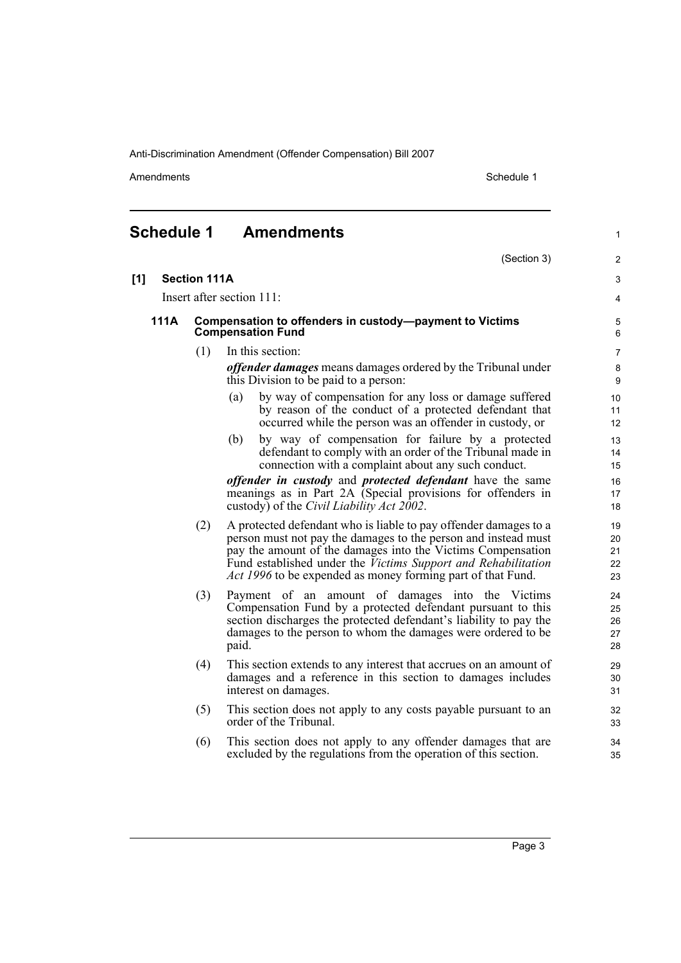Amendments Schedule 1

(Section 3)

1

2

#### <span id="page-6-0"></span>**Schedule 1 Amendments**

| [1]  | <b>Section 111A</b> |                                                                                                                                                                                                                                                                                                                                          | 3                          |
|------|---------------------|------------------------------------------------------------------------------------------------------------------------------------------------------------------------------------------------------------------------------------------------------------------------------------------------------------------------------------------|----------------------------|
|      |                     | Insert after section 111:                                                                                                                                                                                                                                                                                                                | 4                          |
| 111A |                     | Compensation to offenders in custody-payment to Victims<br><b>Compensation Fund</b>                                                                                                                                                                                                                                                      |                            |
|      | (1)                 | In this section:                                                                                                                                                                                                                                                                                                                         | $\overline{7}$             |
|      |                     | <i>offender damages</i> means damages ordered by the Tribunal under<br>this Division to be paid to a person:                                                                                                                                                                                                                             | 8<br>9                     |
|      |                     | by way of compensation for any loss or damage suffered<br>(a)<br>by reason of the conduct of a protected defendant that<br>occurred while the person was an offender in custody, or                                                                                                                                                      | 10<br>11<br>12             |
|      |                     | by way of compensation for failure by a protected<br>(b)<br>defendant to comply with an order of the Tribunal made in<br>connection with a complaint about any such conduct.                                                                                                                                                             | 13<br>14<br>15             |
|      |                     | <i>offender in custody</i> and <i>protected defendant</i> have the same<br>meanings as in Part 2A (Special provisions for offenders in<br>custody) of the <i>Civil Liability Act 2002</i> .                                                                                                                                              | 16<br>17<br>18             |
|      | (2)                 | A protected defendant who is liable to pay offender damages to a<br>person must not pay the damages to the person and instead must<br>pay the amount of the damages into the Victims Compensation<br>Fund established under the Victims Support and Rehabilitation<br><i>Act 1996</i> to be expended as money forming part of that Fund. | 19<br>20<br>21<br>22<br>23 |
|      | (3)                 | Payment of an amount of damages into the Victims<br>Compensation Fund by a protected defendant pursuant to this<br>section discharges the protected defendant's liability to pay the<br>damages to the person to whom the damages were ordered to be<br>paid.                                                                            | 24<br>25<br>26<br>27<br>28 |
|      | (4)                 | This section extends to any interest that accrues on an amount of<br>damages and a reference in this section to damages includes<br>interest on damages.                                                                                                                                                                                 | 29<br>30<br>31             |
|      | (5)                 | This section does not apply to any costs payable pursuant to an<br>order of the Tribunal.                                                                                                                                                                                                                                                | 32<br>33                   |
|      | (6)                 | This section does not apply to any offender damages that are<br>excluded by the regulations from the operation of this section.                                                                                                                                                                                                          | 34<br>35                   |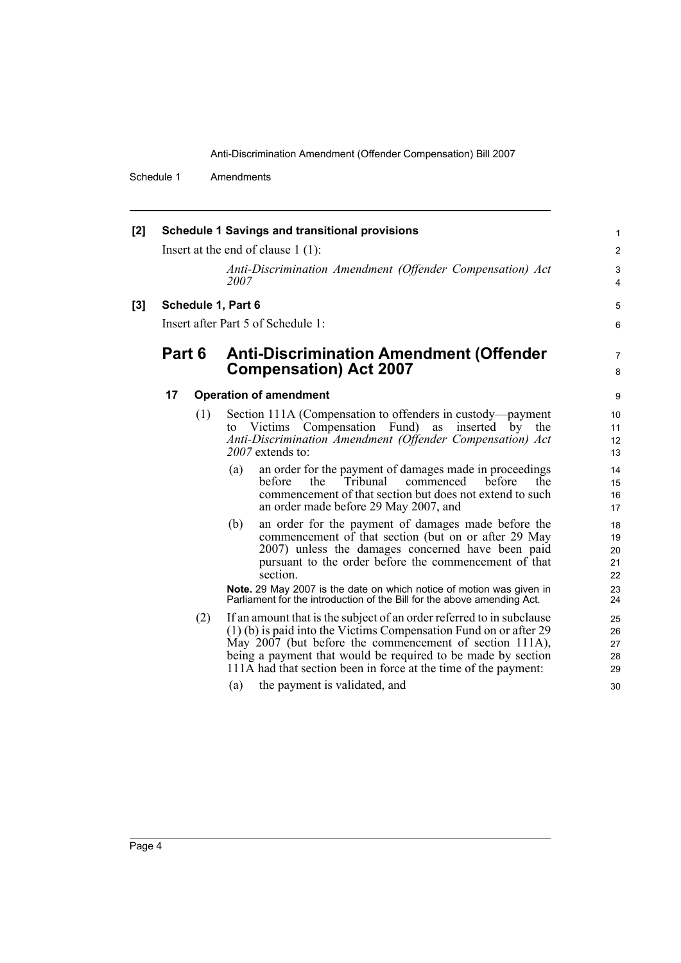Schedule 1 Amendments

| $[2]$ | <b>Schedule 1 Savings and transitional provisions</b> |     |                                                                                                                                                                                                                                                                                                                                            |                            |
|-------|-------------------------------------------------------|-----|--------------------------------------------------------------------------------------------------------------------------------------------------------------------------------------------------------------------------------------------------------------------------------------------------------------------------------------------|----------------------------|
|       |                                                       |     | Insert at the end of clause $1(1)$ :                                                                                                                                                                                                                                                                                                       | 2                          |
|       |                                                       |     | Anti-Discrimination Amendment (Offender Compensation) Act<br>2007                                                                                                                                                                                                                                                                          | 3<br>4                     |
| [3]   | Schedule 1, Part 6                                    |     |                                                                                                                                                                                                                                                                                                                                            |                            |
|       | Insert after Part 5 of Schedule 1:                    |     |                                                                                                                                                                                                                                                                                                                                            |                            |
|       | Part 6                                                |     | <b>Anti-Discrimination Amendment (Offender</b><br><b>Compensation) Act 2007</b>                                                                                                                                                                                                                                                            | $\overline{7}$<br>8        |
|       | 17                                                    |     | <b>Operation of amendment</b>                                                                                                                                                                                                                                                                                                              | 9                          |
|       |                                                       | (1) | Section 111A (Compensation to offenders in custody—payment<br>Victims Compensation Fund) as inserted<br>the<br>by<br>to<br>Anti-Discrimination Amendment (Offender Compensation) Act<br>$2007$ extends to:                                                                                                                                 | 10<br>11<br>12<br>13       |
|       |                                                       |     | an order for the payment of damages made in proceedings<br>(a)<br>Tribunal<br>commenced<br>before<br>before<br>the<br>the<br>commencement of that section but does not extend to such<br>an order made before 29 May 2007, and                                                                                                             | 14<br>15<br>16<br>17       |
|       |                                                       |     | an order for the payment of damages made before the<br>(b)<br>commencement of that section (but on or after 29 May<br>2007) unless the damages concerned have been paid<br>pursuant to the order before the commencement of that<br>section.                                                                                               | 18<br>19<br>20<br>21<br>22 |
|       |                                                       |     | Note. 29 May 2007 is the date on which notice of motion was given in<br>Parliament for the introduction of the Bill for the above amending Act.                                                                                                                                                                                            | 23<br>24                   |
|       |                                                       | (2) | If an amount that is the subject of an order referred to in subclause<br>$(1)$ (b) is paid into the Victims Compensation Fund on or after 29<br>May 2007 (but before the commencement of section 111A),<br>being a payment that would be required to be made by section<br>111A had that section been in force at the time of the payment: | 25<br>26<br>27<br>28<br>29 |
|       |                                                       |     | the payment is validated, and<br>(a)                                                                                                                                                                                                                                                                                                       | 30                         |